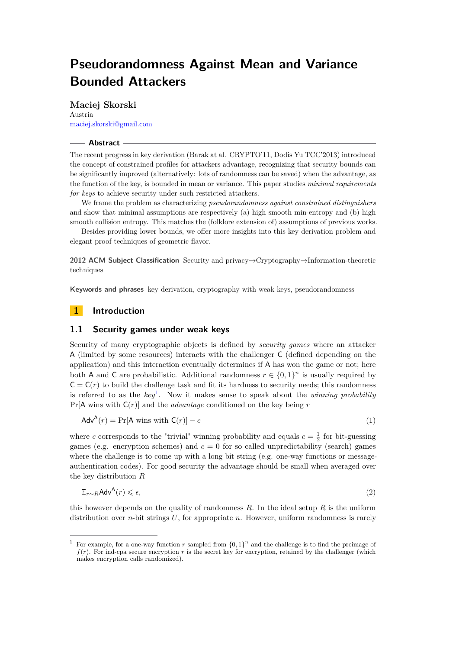# **Pseudorandomness Against Mean and Variance Bounded Attackers**

**Maciej Skorski** Austria [maciej.skorski@gmail.com](mailto:maciej.skorski@gmail.com)

#### **Abstract**

The recent progress in key derivation (Barak at al. CRYPTO'11, Dodis Yu TCC'2013) introduced the concept of constrained profiles for attackers advantage, recognizing that security bounds can be significantly improved (alternatively: lots of randomness can be saved) when the advantage, as the function of the key, is bounded in mean or variance. This paper studies *minimal requirements for keys* to achieve security under such restricted attackers.

We frame the problem as characterizing *pseudorandomness against constrained distinguishers* and show that minimal assumptions are respectively (a) high smooth min-entropy and (b) high smooth collision entropy. This matches the (folklore extension of) assumptions of previous works.

Besides providing lower bounds, we offer more insights into this key derivation problem and elegant proof techniques of geometric flavor.

**2012 ACM Subject Classification** Security and privacy→Cryptography→Information-theoretic techniques

**Keywords and phrases** key derivation, cryptography with weak keys, pseudorandomness

## **1 Introduction**

#### **1.1 Security games under weak keys**

Security of many cryptographic objects is defined by *security games* where an attacker A (limited by some resources) interacts with the challenger C (defined depending on the application) and this interaction eventually determines if A has won the game or not; here both A and C are probabilistic. Additional randomness  $r \in \{0,1\}^n$  is usually required by  $C = C(r)$  to build the challenge task and fit its hardness to security needs; this randomness is referred to as the *key*[1](#page-0-0) . Now it makes sense to speak about the *winning probability* Pr[A wins with C(*r*)] and the *advantage* conditioned on the key being *r*

$$
AdvA(r) = Pr[A wins with C(r)] - c
$$
\n(1)

where *c* corresponds to the "trivial" winning probability and equals  $c = \frac{1}{2}$  for bit-guessing games (e.g. encryption schemes) and  $c = 0$  for so called unpredictability (search) games where the challenge is to come up with a long bit string (e.g. one-way functions or messageauthentication codes). For good security the advantage should be small when averaged over the key distribution *R*

$$
\mathbb{E}_{r \sim R} \mathsf{Adv}^{\mathsf{A}}(r) \leq \epsilon,\tag{2}
$$

this however depends on the quality of randomness *R*. In the ideal setup *R* is the uniform distribution over *n*-bit strings *U*, for appropriate *n*. However, uniform randomness is rarely

<span id="page-0-0"></span><sup>&</sup>lt;sup>1</sup> For example, for a one-way function *r* sampled from  $\{0,1\}^n$  and the challenge is to find the preimage of *f*(*r*). For ind-cpa secure encryption *r* is the secret key for encryption, retained by the challenger (which makes encryption calls randomized).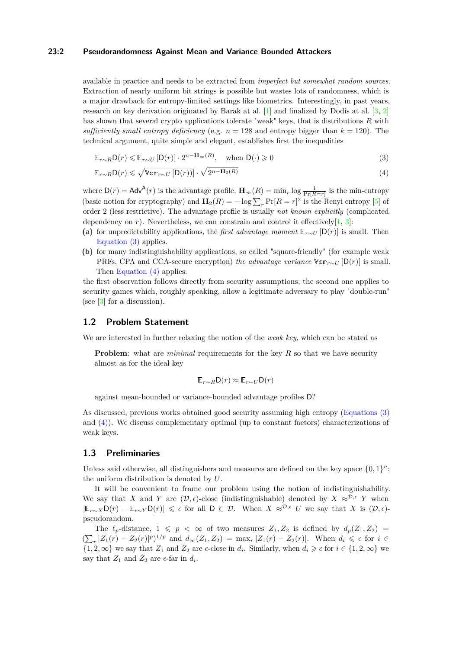#### **23:2 Pseudorandomness Against Mean and Variance Bounded Attackers**

available in practice and needs to be extracted from *imperfect but somewhat random sources*. Extraction of nearly uniform bit strings is possible but wastes lots of randomness, which is a major drawback for entropy-limited settings like biometrics. Interestingly, in past years, research on key derivation originated by Barak at al.  $[1]$  and finalized by Dodis at al.  $[3, 2]$  $[3, 2]$  $[3, 2]$ has shown that several crypto applications tolerate "weak" keys, that is distributions *R* with *sufficiently small entropy deficiency* (e.g.  $n = 128$  and entropy bigger than  $k = 120$ ). The technical argument, quite simple and elegant, establishes first the inequalities

<span id="page-1-0"></span>
$$
\mathbb{E}_{r \sim R} \mathsf{D}(r) \le \mathbb{E}_{r \sim U} \left[ \mathsf{D}(r) \right] \cdot 2^{n - \mathbf{H}_{\infty}(R)}, \quad \text{when } \mathsf{D}(\cdot) \ge 0 \tag{3}
$$

$$
\mathbb{E}_{r \sim R} \mathsf{D}(r) \leqslant \sqrt{\mathbb{Var}_{r \sim U} \left[ \mathsf{D}(r) \right]} \cdot \sqrt{2^{n - \mathbf{H}_2(R)}} \tag{4}
$$

where  $D(r) = Adv^{A}(r)$  is the advantage profile,  $\mathbf{H}_{\infty}(R) = \min_{r} \log \frac{1}{\Pr[R=r]}$  is the min-entropy (basic notion for cryptography) and  $\mathbf{H}_2(R) = -\log \sum_r \Pr[R = r]^2$  is the Renyi entropy [\[5\]](#page-9-3) of order 2 (less restrictive). The advantage profile is usually *not known explicitly* (complicated dependency on  $r$ ). Nevertheless, we can constrain and control it effectively  $[1, 3]$  $[1, 3]$  $[1, 3]$ :

- (a) for unpredictability applications, the *first advantage moment*  $\mathbb{E}_{r \sim U}$  [D(*r*)] is small. Then [Equation \(3\)](#page-1-0) applies.
- **(b)** for many indistinguishability applications, so called "square-friendly" (for example weak PRFs, CPA and CCA-secure encryption) *the advantage variance*  $\mathbb{V}_{\mathbb{C}\mathbb{C}}[D(r)]$  is small. Then [Equation \(4\)](#page-1-1) applies.

the first observation follows directly from security assumptions; the second one applies to security games which, roughly speaking, allow a legitimate adversary to play "double-run" (see  $\lceil 3 \rceil$  for a discussion).

## **1.2 Problem Statement**

We are interested in further relaxing the notion of the *weak key*, which can be stated as

**Problem**: what are *minimal* requirements for the key R so that we have security almost as for the ideal key

<span id="page-1-1"></span>
$$
\mathbb{E}_{r\sim R}\mathsf{D}(r)\approx \mathbb{E}_{r\sim U}\mathsf{D}(r)
$$

against mean-bounded or variance-bounded advantage profiles D?

As discussed, previous works obtained good security assuming high entropy [\(Equations \(3\)](#page-1-0) and [\(4\)\)](#page-1-1). We discuss complementary optimal (up to constant factors) characterizations of weak keys.

#### **1.3 Preliminaries**

Unless said otherwise, all distinguishers and measures are defined on the key space  $\{0,1\}^n$ ; the uniform distribution is denoted by *U*.

It will be convenient to frame our problem using the notion of indistinguishability. We say that *X* and *Y* are  $(D, \epsilon)$ -close (indistinguishable) denoted by  $X \approx^{\mathcal{D}, \epsilon} Y$  when  $|\mathbb{E}_{r\sim X}D(r) - \mathbb{E}_{r\sim Y}D(r)| \leq \epsilon$  for all  $D \in \mathcal{D}$ . When  $X \approx^{D,\epsilon} U$  we say that *X* is  $(\mathcal{D}, \epsilon)$ pseudorandom.

The  $\ell_p$ -distance,  $1 \leq p \leq \infty$  of two measures  $Z_1, Z_2$  is defined by  $d_p(Z_1, Z_2)$  $(\sum_{r} |Z_1(r) - Z_2(r)|^p)^{1/p}$  and  $d_{\infty}(Z_1, Z_2) = \max_{r} |Z_1(r) - Z_2(r)|$ . When  $d_i \leq \epsilon$  for  $i \in$  $\{1, 2, \infty\}$  we say that  $Z_1$  and  $Z_2$  are  $\epsilon$ -close in  $d_i$ . Similarly, when  $d_i \geq \epsilon$  for  $i \in \{1, 2, \infty\}$  we say that  $Z_1$  and  $Z_2$  are  $\epsilon$ -far in  $d_i$ .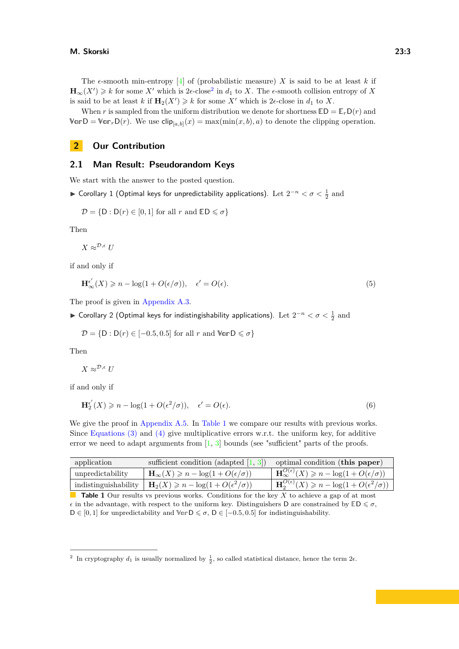The  $\epsilon$ -smooth min-entropy [\[4\]](#page-9-4) of (probabilistic measure) *X* is said to be at least *k* if  **for some** *X***<sup>***i***</sup> which is [2](#page-2-0)** $\epsilon$ **-close<sup>2</sup> in** *d***<sub>1</sub> to** *X***. The**  $\epsilon$ **-smooth collision entropy of** *X* is said to be at least *k* if  $\mathbf{H}_2(X') \geq k$  for some X' which is 2 $\epsilon$ -close in  $d_1$  to X.

When *r* is sampled from the uniform distribution we denote for shortness  $ED = \mathbb{E}_r D(r)$  and  $\mathbb{V}$ **arD** =  $\mathbb{V}$ **ar**<sub>*r*</sub>**D**(*r*). We use  $\text{clip}_{[a,b]}(x) = \max(\min(x, b), a)$  to denote the clipping operation.

# **2 Our Contribution**

### **2.1 Man Result: Pseudorandom Keys**

We start with the answer to the posted question.

► Corollary 1 (Optimal keys for unpredictability applications). Let  $2^{-n} < \sigma < \frac{1}{2}$  and

$$
\mathcal{D} = \{ \mathsf{D} : \mathsf{D}(r) \in [0,1] \text{ for all } r \text{ and } \mathbb{E}\mathsf{D} \leq \sigma \}
$$

Then

 $X \approx^{\mathcal{D}, \epsilon} U$ 

if and only if

$$
\mathbf{H}_{\infty}^{\epsilon'}(X) \geq n - \log(1 + O(\epsilon/\sigma)), \quad \epsilon' = O(\epsilon). \tag{5}
$$

The proof is given in [Appendix A.3.](#page-11-0)

► Corollary 2 (Optimal keys for indistingishability applications). Let  $2^{-n} < \sigma < \frac{1}{2}$  and

 $\mathcal{D} = \{D : D(r) \in [-0.5, 0.5] \text{ for all } r \text{ and } \mathbb{V}$  or  $D \leq \sigma\}$ 

Then

 $X \approx^{\mathcal{D}, \epsilon} U$ 

if and only if

$$
\mathbf{H}_{2}^{\epsilon'}(X) \geqslant n - \log(1 + O(\epsilon^2/\sigma)), \quad \epsilon' = O(\epsilon). \tag{6}
$$

We give the proof in [Appendix A.5.](#page-12-0) In [Table 1](#page-2-1) we compare our results with previous works. Since [Equations \(3\)](#page-1-0) and [\(4\)](#page-1-1) give multiplicative errors w.r.t. the uniform key, for additive error we need to adapt arguments from  $\left[1, 3\right]$  $\left[1, 3\right]$  $\left[1, 3\right]$  bounds (see "sufficient" parts of the proofs.

<span id="page-2-1"></span>

|  | application      | sufficient condition (adapted $[1, 3]$ )   optimal condition (this paper)           |                                                                              |
|--|------------------|-------------------------------------------------------------------------------------|------------------------------------------------------------------------------|
|  | unpredictability | $\mathbf{H}_{\infty}(X) \geqslant n - \log(1 + O(\epsilon/\sigma))$                 | $\mathbf{H}_{\infty}^{O(\epsilon)}(X) \geq n - \log(1 + O(\epsilon/\sigma))$ |
|  |                  | indistinguishability $\mid \mathbf{H}_2(X) \geq n - \log(1 + O(\epsilon^2/\sigma))$ | $\mathbf{H}_{2}^{O(\epsilon)}(X) \geq n - \log(1 + O(\epsilon^2/\sigma))$    |
|  |                  |                                                                                     |                                                                              |

**Table 1** Our results vs previous works. Conditions for the key *X* to achieve a gap of at most  $\epsilon$  in the advantage, with respect to the uniform key. Distinguishers D are constrained by  $\mathbb{E} \mathsf{D} \leq \sigma$ .  $D ∈ [0, 1]$  for unpredictability and  $\forall$  or  $D ≤ σ$ ,  $D ∈ [-0.5, 0.5]$  for indistinguishability.

<span id="page-2-0"></span><sup>&</sup>lt;sup>2</sup> In cryptography  $d_1$  is usually normalized by  $\frac{1}{2}$ , so called statistical distance, hence the term 2 $\epsilon$ .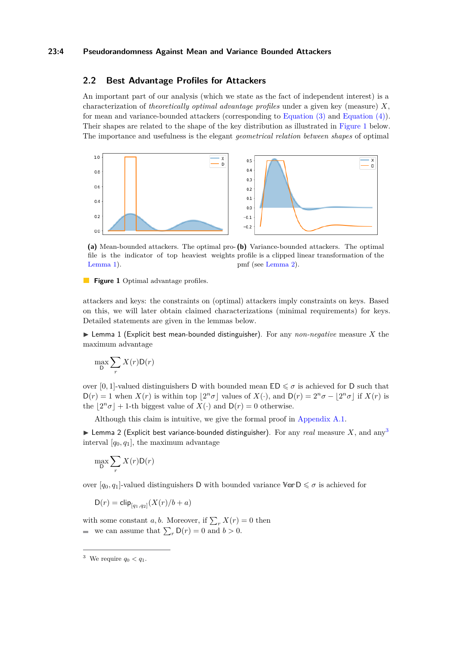#### **23:4 Pseudorandomness Against Mean and Variance Bounded Attackers**

## **2.2 Best Advantage Profiles for Attackers**

An important part of our analysis (which we state as the fact of independent interest) is a characterization of *theoretically optimal advantage profiles* under a given key (measure) *X*, for mean and variance-bounded attackers (corresponding to [Equation \(3\)](#page-1-0) and [Equation \(4\)\)](#page-1-1). Their shapes are related to the shape of the key distribution as illustrated in [Figure 1](#page-3-0) below. The importance and usefulness is the elegant *geometrical relation between shapes* of optimal

<span id="page-3-0"></span>

**(a)** Mean-bounded attackers. The optimal pro-**(b)** Variance-bounded attackers. The optimal file is the indicator of top heaviest weights profile is a clipped linear transformation of the [Lemma 1\)](#page-3-1). pmf (see [Lemma 2\)](#page-3-2).

**Figure 1** Optimal advantage profiles.

attackers and keys: the constraints on (optimal) attackers imply constraints on keys. Based on this, we will later obtain claimed characterizations (minimal requirements) for keys. Detailed statements are given in the lemmas below.

<span id="page-3-1"></span> $\triangleright$  Lemma 1 (Explicit best mean-bounded distinguisher). For any *non-negative* measure X the maximum advantage

$$
\max_{\mathsf{D}} \sum_{r} X(r) \mathsf{D}(r)
$$

over [0, 1]-valued distinguishers D with bounded mean  $ED \leq \sigma$  is achieved for D such that  $D(r) = 1$  when  $X(r)$  is within top  $\lfloor 2^n \sigma \rfloor$  values of  $X(\cdot)$ , and  $D(r) = 2^n \sigma - \lfloor 2^n \sigma \rfloor$  if  $X(r)$  is the  $|2^n\sigma| + 1$ -th biggest value of  $X(\cdot)$  and  $D(r) = 0$  otherwise.

Although this claim is intuitive, we give the formal proof in [Appendix A.1.](#page-10-0)

<span id="page-3-2"></span>**Ightharroon** 2 (Explicit best variance-bounded distinguisher). For any *real* measure *X*, and any<sup>[3](#page-3-3)</sup> interval  $[q_0, q_1]$ , the maximum advantage

$$
\max_{\mathsf{D}} \sum_{r} X(r) \mathsf{D}(r)
$$

over  $[q_0, q_1]$ -valued distinguishers D with bounded variance  $\forall \text{or } D \leq \sigma$  is achieved for

$$
\mathsf{D}(r) = \mathsf{clip}_{[q_1, q_2]}(X(r)/b + a)
$$

with some constant *a*, *b*. Moreover, if  $\sum_{r} X(r) = 0$  then we can assume that  $\sum_{r} \mathsf{D}(r) = 0$  and  $b > 0$ .

<span id="page-3-3"></span><sup>&</sup>lt;sup>3</sup> We require  $q_0 < q_1$ .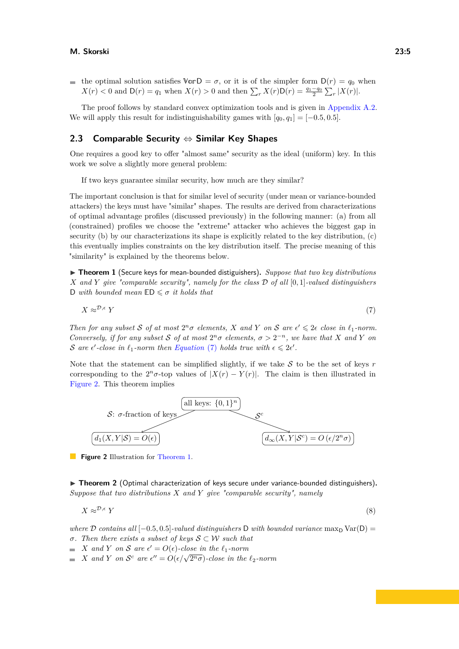#### **M. Skorski 23:5**

the optimal solution satisfies  $\mathbb{V} \in \mathcal{D} = \sigma$ , or it is of the simpler form  $D(r) = q_0$  when  $X(r) < 0$  and  $D(r) = q_1$  when  $X(r) > 0$  and then  $\sum_r X(r)D(r) = \frac{q_1 - q_0}{2} \sum_r |X(r)|$ .

The proof follows by standard convex optimization tools and is given in [Appendix A.2.](#page-10-1) We will apply this result for indistinguishability games with  $[q_0, q_1] = [-0.5, 0.5]$ .

## **2.3 Comparable Security** ⇔ **Similar Key Shapes**

One requires a good key to offer "almost same" security as the ideal (uniform) key. In this work we solve a slightly more general problem:

If two keys guarantee similar security, how much are they similar?

The important conclusion is that for similar level of security (under mean or variance-bounded attackers) the keys must have "similar" shapes. The results are derived from characterizations of optimal advantage profiles (discussed previously) in the following manner: (a) from all (constrained) profiles we choose the "extreme" attacker who achieves the biggest gap in security (b) by our characterizations its shape is explicitly related to the key distribution, (c) this eventually implies constraints on the key distribution itself. The precise meaning of this "similarity" is explained by the theorems below.

<span id="page-4-2"></span>▶ **Theorem 1** (Secure keys for mean-bounded distiguishers). *Suppose that two key distributions X and Y give "comparable security", namely for the class* D *of all* [0*,* 1]*-valued distinguishers* D *with bounded mean*  $ED \leq \sigma$  *it holds that* 

<span id="page-4-0"></span>
$$
X \approx^{\mathcal{D}, \epsilon} Y \tag{7}
$$

*Then for any subset*  $S$  *of at most*  $2^n \sigma$  *elements,*  $X$  *and*  $Y$  *on*  $S$  *are*  $\epsilon' \leq 2\epsilon$  *close in*  $\ell_1$ *-norm. Conversely, if for any subset* S *of at most*  $2^n\sigma$  *elements,*  $\sigma > 2^{-n}$ *, we have that* X *and* Y *on* S are  $\epsilon'$ -close in  $\ell_1$ -norm then *[Equation](#page-4-0)* (7) holds true with  $\epsilon \leq 2\epsilon'$ .

Note that the statement can be simplified slightly, if we take  $S$  to be the set of keys  $r$ corresponding to the  $2^n \sigma$ -top values of  $|X(r) - Y(r)|$ . The claim is then illustrated in [Figure 2.](#page-4-1) This theorem implies

<span id="page-4-1"></span>

**Figure 2** Illustration for [Theorem 1.](#page-4-2)

<span id="page-4-3"></span>▶ Theorem 2 (Optimal characterization of keys secure under variance-bounded distinguishers). *Suppose that two distributions X and Y give "comparable security", namely*

<span id="page-4-4"></span>
$$
X \approx^{\mathcal{D}, \epsilon} Y \tag{8}
$$

*where*  $\mathcal D$  *contains all* [−0*.*5*,* 0*.5*]*-valued distinguishers*  $D$  *with bounded variance* max<sub>D</sub> Var(D) = *σ. Then there exists a subset of keys* S ⊂ W *such that*

- *X* and *Y* on *S* are  $\epsilon' = O(\epsilon)$ -close in the  $\ell_1$ -norm
- *X* and *Y* on  $S^c$  are  $\epsilon'' = O(\epsilon/\sqrt{2^n \sigma})$ -close in the  $\ell_2$ -norm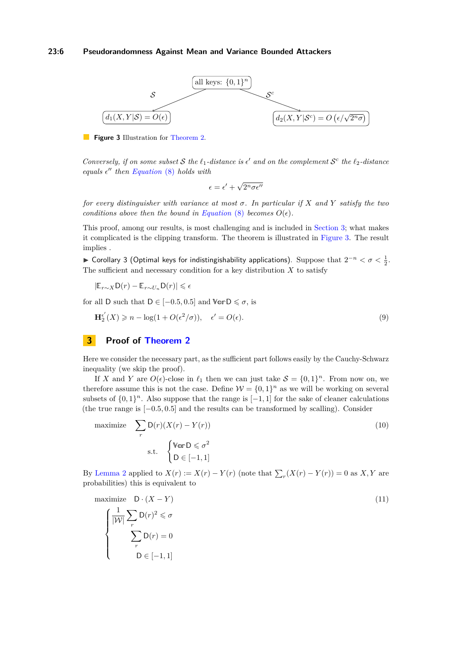#### **23:6 Pseudorandomness Against Mean and Variance Bounded Attackers**

<span id="page-5-1"></span>

**Figure 3** Illustration for [Theorem 2.](#page-4-3)

*Conversely, if on some subset*  $S$  *the*  $\ell_1$ *-distance is*  $\epsilon'$  *and on the complement*  $S^c$  *the*  $\ell_2$ *-distance equals*  $\epsilon$ <sup>*''*</sup> *then [Equation](#page-4-4)* (8) *holds with* 

$$
\epsilon = \epsilon' + \sqrt{2^n \sigma \epsilon''}
$$

*for every distinguisher with variance at most σ. In particular if X and Y satisfy the two conditions above then the bound in [Equation](#page-4-4)* (8) *becomes*  $O(\epsilon)$ *.* 

This proof, among our results, is most challenging and is included in [Section 3;](#page-5-0) what makes it complicated is the clipping transform. The theorem is illustrated in [Figure 3.](#page-5-1) The result implies .

<span id="page-5-3"></span>► Corollary 3 (Optimal keys for indistingishability applications). Suppose that  $2^{-n} < \sigma < \frac{1}{2}$ . The sufficient and necessary condition for a key distribution *X* to satisfy

$$
|\mathbb{E}_{r \sim X} \mathsf{D}(r) - \mathbb{E}_{r \sim U_n} \mathsf{D}(r)| \leq \epsilon
$$

for all D such that  $D \in [-0.5, 0.5]$  and  $\mathbb{V}$ **or** $D \leq \sigma$ , is

$$
\mathbf{H}_{2}^{\epsilon'}(X) \geq n - \log(1 + O(\epsilon^2/\sigma)), \quad \epsilon' = O(\epsilon). \tag{9}
$$

# <span id="page-5-0"></span>**3 Proof of [Theorem 2](#page-4-3)**

Here we consider the necessary part, as the sufficient part follows easily by the Cauchy-Schwarz inequality (we skip the proof).

If *X* and *Y* are  $O(\epsilon)$ -close in  $\ell_1$  then we can just take  $S = \{0, 1\}^n$ . From now on, we therefore assume this is not the case. Define  $W = \{0, 1\}^n$  as we will be working on several subsets of  $\{0,1\}^n$ . Also suppose that the range is  $[-1,1]$  for the sake of cleaner calculations (the true range is [−0*.*5*,* 0*.*5] and the results can be transformed by scalling). Consider

maximize 
$$
\sum_{r} D(r)(X(r) - Y(r))
$$
  
s.t.  $\begin{cases} \mathbb{V} \text{or } D \leq \sigma^2 \\ D \in [-1, 1] \end{cases}$  (10)

By [Lemma 2](#page-3-2) applied to  $X(r) := X(r) - Y(r)$  (note that  $\sum_{r} (X(r) - Y(r)) = 0$  as  $X, Y$  are probabilities) this is equivalent to

<span id="page-5-2"></span>maximize 
$$
D \cdot (X - Y)
$$
  
\n
$$
\begin{cases}\n\frac{1}{|\mathcal{W}|} \sum_{r} D(r)^2 \leq \sigma \\
\sum_{r} D(r) = 0 \\
D \in [-1, 1]\n\end{cases}
$$
\n(11)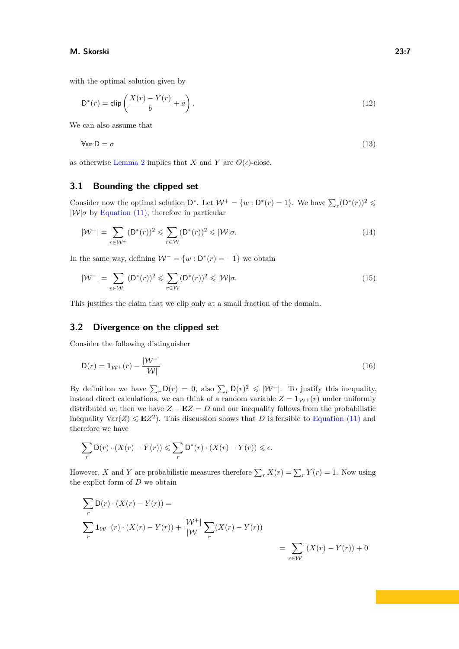#### **M. Skorski 23:7**

with the optimal solution given by

<span id="page-6-0"></span>
$$
D^*(r) = \text{clip}\left(\frac{X(r) - Y(r)}{b} + a\right). \tag{12}
$$

We can also assume that

$$
\mathbb{V}\text{or}\,\mathsf{D}=\sigma\tag{13}
$$

as otherwise [Lemma 2](#page-3-2) implies that *X* and *Y* are  $O(\epsilon)$ -close.

## **3.1 Bounding the clipped set**

Consider now the optimal solution  $D^*$ . Let  $W^+ = \{w : D^*(r) = 1\}$ . We have  $\sum_r (D^*(r))^2 \leq$  $|\mathcal{W}|\sigma$  by [Equation \(11\),](#page-5-2) therefore in particular

$$
|\mathcal{W}^+| = \sum_{r \in \mathcal{W}^+} (\mathsf{D}^*(r))^2 \leq \sum_{r \in \mathcal{W}} (\mathsf{D}^*(r))^2 \leq |\mathcal{W}|\sigma.
$$
 (14)

In the same way, defining  $W^- = \{w : D^*(r) = -1\}$  we obtain

$$
|\mathcal{W}^-| = \sum_{r \in \mathcal{W}^-} (\mathsf{D}^*(r))^2 \leqslant \sum_{r \in \mathcal{W}} (\mathsf{D}^*(r))^2 \leqslant |\mathcal{W}|\sigma.
$$
\n
$$
(15)
$$

This justifies the claim that we clip only at a small fraction of the domain.

## **3.2 Divergence on the clipped set**

Consider the following distinguisher

$$
D(r) = \mathbf{1}_{\mathcal{W}^+}(r) - \frac{|\mathcal{W}^+|}{|\mathcal{W}|}\tag{16}
$$

By definition we have  $\sum_r \mathsf{D}(r) = 0$ , also  $\sum_r \mathsf{D}(r)^2 \leq |\mathcal{W}^+|$ . To justify this inequality, instead direct calculations, we can think of a random variable  $Z = \mathbf{1}_{W^+}(r)$  under uniformly distributed *w*; then we have  $Z - \mathbf{E}Z = D$  and our inequality follows from the probabilistic inequality  $\text{Var}(Z) \leqslant \mathbf{E}Z^2$ ). This discussion shows that *D* is feasible to [Equation \(11\)](#page-5-2) and therefore we have

$$
\sum_{r} \mathsf{D}(r) \cdot (X(r) - Y(r)) \leqslant \sum_{r} \mathsf{D}^*(r) \cdot (X(r) - Y(r)) \leqslant \epsilon.
$$

However, *X* and *Y* are probabilistic measures therefore  $\sum_{r} X(r) = \sum_{r} Y(r) = 1$ . Now using the explict form of *D* we obtain

$$
\sum_{r} D(r) \cdot (X(r) - Y(r)) =
$$
\n
$$
\sum_{r} \mathbf{1}_{\mathcal{W}^+}(r) \cdot (X(r) - Y(r)) + \frac{|\mathcal{W}^+|}{|\mathcal{W}|} \sum_{r} (X(r) - Y(r))
$$
\n
$$
= \sum_{r \in \mathcal{W}^+} (X(r) - Y(r)) + 0
$$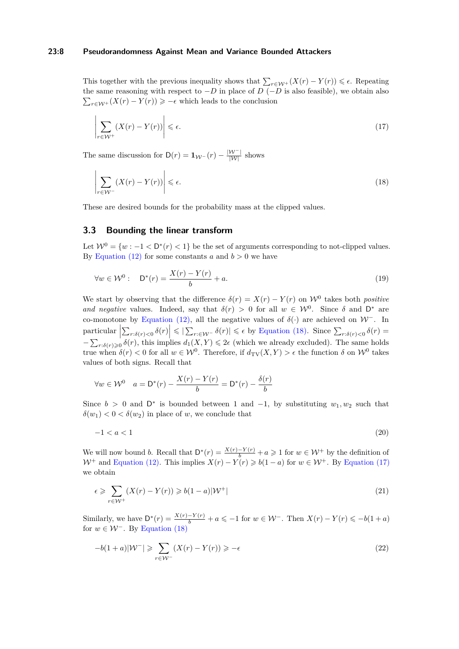#### **23:8 Pseudorandomness Against Mean and Variance Bounded Attackers**

This together with the previous inequality shows that  $\sum_{r \in \mathcal{W}^+} (X(r) - Y(r)) \leq \epsilon$ . Repeating the same reasoning with respect to −*D* in place of *D* (−*D* is also feasible), we obtain also  $\sum_{r \in \mathcal{W}^+} (X(r) - Y(r)) \geqslant -\epsilon$  which leads to the conclusion

<span id="page-7-1"></span>
$$
\left| \sum_{r \in \mathcal{W}^+} (X(r) - Y(r)) \right| \leq \epsilon. \tag{17}
$$

The same discussion for  $D(r) = 1_{\mathcal{W}^{-}}(r) - \frac{|\mathcal{W}^{-}|}{|\mathcal{W}|}$  shows

<span id="page-7-0"></span>
$$
\left| \sum_{r \in \mathcal{W}^-} (X(r) - Y(r)) \right| \leq \epsilon. \tag{18}
$$

These are desired bounds for the probability mass at the clipped values.

#### **3.3 Bounding the linear transform**

Let  $W^0 = \{w : -1 < D^*(r) < 1\}$  be the set of arguments corresponding to not-clipped values. By Equation  $(12)$  for some constants *a* and  $b > 0$  we have

<span id="page-7-3"></span>
$$
\forall w \in \mathcal{W}^0: \quad \mathsf{D}^*(r) = \frac{X(r) - Y(r)}{b} + a. \tag{19}
$$

We start by observing that the difference  $\delta(r) = X(r) - Y(r)$  on  $\mathcal{W}^0$  takes both *positive and negative* values. Indeed, say that  $\delta(r) > 0$  for all  $w \in \mathcal{W}^0$ . Since  $\delta$  and  $D^*$  are co-monotone by [Equation \(12\),](#page-6-0) all the negative values of  $\delta(\cdot)$  are achieved on W<sup>−</sup>. In  $\text{particular } \left|\sum_{r:\delta(r)<0} \delta(r)\right| \leqslant \left|\sum_{r:\in\mathcal{W}^-} \delta(r)\right| \leqslant \epsilon \text{ by Equation (18). Since } \sum_{r:\delta(r)<0} \delta(r) = \sum_{r:\delta(r)=0} \delta(r)$  $\text{particular } \left|\sum_{r:\delta(r)<0} \delta(r)\right| \leqslant \left|\sum_{r:\in\mathcal{W}^-} \delta(r)\right| \leqslant \epsilon \text{ by Equation (18). Since } \sum_{r:\delta(r)<0} \delta(r) = \sum_{r:\delta(r)=0} \delta(r)$  $\text{particular } \left|\sum_{r:\delta(r)<0} \delta(r)\right| \leqslant \left|\sum_{r:\in\mathcal{W}^-} \delta(r)\right| \leqslant \epsilon \text{ by Equation (18). Since } \sum_{r:\delta(r)<0} \delta(r) = \sum_{r:\delta(r)=0} \delta(r)$  $-\sum_{r:\delta(r)\geqslant0}\delta(r)$ , this implies  $d_1(X,Y)\leqslant2\epsilon$  (which we already excluded). The same holds true when  $\delta(r) < 0$  for all  $w \in \mathcal{W}^0$ . Therefore, if  $d_{\text{TV}}(X, Y) > \epsilon$  the function  $\delta$  on  $\mathcal{W}^0$  takes values of both signs. Recall that

$$
\forall w \in \mathcal{W}^0 \quad a = \mathsf{D}^*(r) - \frac{X(r) - Y(r)}{b} = \mathsf{D}^*(r) - \frac{\delta(r)}{b}
$$

Since  $b > 0$  and  $D^*$  is bounded between 1 and -1, by substituting  $w_1, w_2$  such that  $\delta(w_1) < 0 < \delta(w_2)$  in place of *w*, we conclude that

<span id="page-7-2"></span>
$$
-1 < a < 1 \tag{20}
$$

We will now bound *b*. Recall that  $D^*(r) = \frac{X(r) - Y(r)}{b} + a \ge 1$  for  $w \in \mathcal{W}^+$  by the definition of W<sup>+</sup> and [Equation \(12\).](#page-6-0) This implies  $X(r) - Y(r) \geq b(1-a)$  for  $w \in \mathcal{W}^+$ . By [Equation \(17\)](#page-7-1) we obtain

<span id="page-7-4"></span>
$$
\epsilon \geqslant \sum_{r \in \mathcal{W}^+} (X(r) - Y(r)) \geqslant b(1 - a)|\mathcal{W}^+| \tag{21}
$$

Similarly, we have  $D^*(r) = \frac{X(r) - Y(r)}{b} + a \leq -1$  for  $w \in \mathcal{W}^-$ . Then  $X(r) - Y(r) \leq -b(1+a)$ for  $w \in \mathcal{W}^-$ . By [Equation \(18\)](#page-7-0)

<span id="page-7-5"></span>
$$
-b(1+a)|W^{-}| \geqslant \sum_{r \in W^{-}} (X(r) - Y(r)) \geqslant -\epsilon
$$
\n<sup>(22)</sup>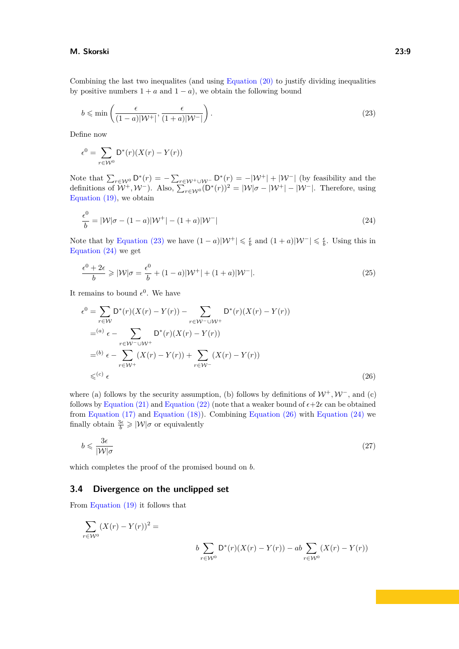#### **M. Skorski 23:9**

Combining the last two inequalites (and using [Equation \(20\)](#page-7-2) to justify dividing inequalities by positive numbers  $1 + a$  and  $1 - a$ ), we obtain the following bound

<span id="page-8-0"></span>
$$
b \leqslant \min\left(\frac{\epsilon}{(1-a)|\mathcal{W}^+|}, \frac{\epsilon}{(1+a)|\mathcal{W}^-|}\right). \tag{23}
$$

Define now

$$
\epsilon^0 = \sum_{r \in \mathcal{W}^0} \mathsf{D}^*(r)(X(r) - Y(r))
$$

Note that  $\sum_{r \in \mathcal{W}^0} D^*(r) = -\sum_{r \in \mathcal{W}^+ \cup \mathcal{W}^-} D^*(r) = -|\mathcal{W}^+| + |\mathcal{W}^-|$  (by feasibility and the definitions of  $W^+$ ,  $W^-$ ). Also,  $\sum_{r \in W^0} (D^*(r))^2 = |W|\sigma - |W^+| - |W^-|$ . Therefore, using [Equation \(19\),](#page-7-3) we obtain

<span id="page-8-1"></span>
$$
\frac{\epsilon^0}{b} = |\mathcal{W}|\sigma - (1 - a)|\mathcal{W}^+| - (1 + a)|\mathcal{W}^-|
$$
\n(24)

Note that by [Equation \(23\)](#page-8-0) we have  $(1 - a)|W^+| \leq \frac{\epsilon}{b}$  and  $(1 + a)|W^-| \leq \frac{\epsilon}{b}$ . Using this in [Equation \(24\)](#page-8-1) we get

$$
\frac{\epsilon^0 + 2\epsilon}{b} \geqslant |\mathcal{W}|\sigma = \frac{\epsilon^0}{b} + (1 - a)|\mathcal{W}^+| + (1 + a)|\mathcal{W}^-|.
$$
\n
$$
(25)
$$

It remains to bound  $\epsilon^0$ . We have

<span id="page-8-2"></span>
$$
\epsilon^{0} = \sum_{r \in \mathcal{W}} D^{*}(r)(X(r) - Y(r)) - \sum_{r \in \mathcal{W}^{-} \cup \mathcal{W}^{+}} D^{*}(r)(X(r) - Y(r))
$$
  

$$
=^{(a)} \epsilon - \sum_{r \in \mathcal{W}^{-} \cup \mathcal{W}^{+}} D^{*}(r)(X(r) - Y(r))
$$
  

$$
=^{(b)} \epsilon - \sum_{r \in \mathcal{W}^{+}} (X(r) - Y(r)) + \sum_{r \in \mathcal{W}^{-}} (X(r) - Y(r))
$$
  

$$
\leq^{(c)} \epsilon
$$
 (26)

where (a) follows by the security assumption, (b) follows by definitions of  $W^+$ ,  $W^-$ , and (c) follows by [Equation \(21\)](#page-7-4) and [Equation \(22\)](#page-7-5) (note that a weaker bound of  $\epsilon + 2\epsilon$  can be obtained from [Equation \(17\)](#page-7-1) and [Equation \(18\)\)](#page-7-0). Combining [Equation \(26\)](#page-8-2) with [Equation \(24\)](#page-8-1) we finally obtain  $\frac{3\epsilon}{b} \geqslant |\mathcal{W}|\sigma$  or equivalently

<span id="page-8-3"></span>
$$
b \leqslant \frac{3\epsilon}{|\mathcal{W}|\sigma} \tag{27}
$$

which completes the proof of the promised bound on *b*.

## **3.4 Divergence on the unclipped set**

From [Equation \(19\)](#page-7-3) it follows that

$$
\sum_{r \in \mathcal{W}^0} (X(r) - Y(r))^2 =
$$
  

$$
b \sum_{r \in \mathcal{W}^0} D^*(r)(X(r) - Y(r)) - ab \sum_{r \in \mathcal{W}^0} (X(r) - Y(r))
$$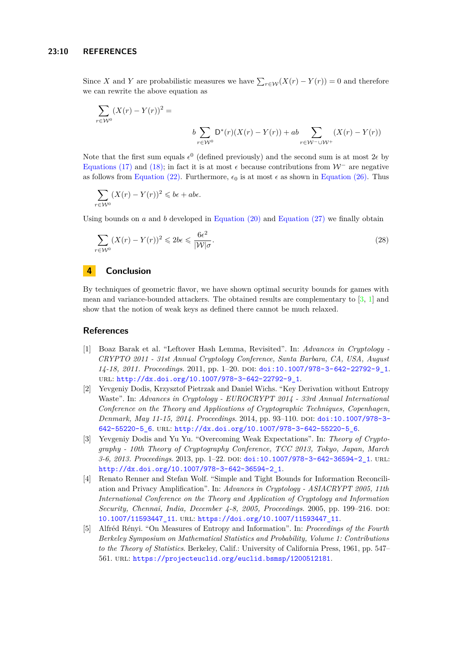Since *X* and *Y* are probabilistic measures we have  $\sum_{r \in \mathcal{W}} (X(r) - Y(r)) = 0$  and therefore we can rewrite the above equation as

$$
\sum_{r \in W^0} (X(r) - Y(r))^2 =
$$
  

$$
b \sum_{r \in W^0} D^*(r)(X(r) - Y(r)) + ab \sum_{r \in W^-\cup W^+} (X(r) - Y(r))
$$

Note that the first sum equals  $\epsilon^0$  (defined previously) and the second sum is at most  $2\epsilon$  by [Equations \(17\)](#page-7-1) and [\(18\);](#page-7-0) in fact it is at most  $\epsilon$  because contributions from  $\mathcal{W}^-$  are negative as follows from [Equation \(22\).](#page-7-5) Furthermore,  $\epsilon_0$  is at most  $\epsilon$  as shown in [Equation \(26\).](#page-8-2) Thus

$$
\sum_{r \in \mathcal{W}^0} (X(r) - Y(r))^2 \leqslant b\epsilon + ab\epsilon.
$$

Using bounds on  $a$  and  $b$  developed in Equation  $(20)$  and Equation  $(27)$  we finally obtain

$$
\sum_{r \in \mathcal{W}^0} (X(r) - Y(r))^2 \leq 2b\epsilon \leq \frac{6\epsilon^2}{|\mathcal{W}|\sigma}.
$$
\n(28)

# **4 Conclusion**

By techniques of geometric flavor, we have shown optimal security bounds for games with mean and variance-bounded attackers. The obtained results are complementary to [\[3,](#page-9-1) [1\]](#page-9-0) and show that the notion of weak keys as defined there cannot be much relaxed.

## **References**

- <span id="page-9-0"></span>[1] Boaz Barak et al. "Leftover Hash Lemma, Revisited". In: *Advances in Cryptology - CRYPTO 2011 - 31st Annual Cryptology Conference, Santa Barbara, CA, USA, August 14-18, 2011. Proceedings*. 2011, pp. 1–20. doi: [doi:10.1007/978-3-642-22792-9\\_1](https://doi.org/doi:10.1007/978-3-642-22792-9_1). url: [http://dx.doi.org/10.1007/978-3-642-22792-9\\_1](http://dx.doi.org/10.1007/978-3-642-22792-9_1).
- <span id="page-9-2"></span>[2] Yevgeniy Dodis, Krzysztof Pietrzak and Daniel Wichs. "Key Derivation without Entropy Waste". In: *Advances in Cryptology - EUROCRYPT 2014 - 33rd Annual International Conference on the Theory and Applications of Cryptographic Techniques, Copenhagen, Denmark, May 11-15, 2014. Proceedings*. 2014, pp. 93–110. doi: [doi:10.1007/978-3-](https://doi.org/doi:10.1007/978-3-642-55220-5_6) [642-55220-5\\_6](https://doi.org/doi:10.1007/978-3-642-55220-5_6). url: [http://dx.doi.org/10.1007/978-3-642-55220-5\\_6](http://dx.doi.org/10.1007/978-3-642-55220-5_6).
- <span id="page-9-1"></span>[3] Yevgeniy Dodis and Yu Yu. "Overcoming Weak Expectations". In: *Theory of Cryptography - 10th Theory of Cryptography Conference, TCC 2013, Tokyo, Japan, March* 3-6, 2013. Proceedings. 2013, pp. 1-22. DOI: [doi:10.1007/978-3-642-36594-2\\_1](https://doi.org/doi:10.1007/978-3-642-36594-2_1). URL: [http://dx.doi.org/10.1007/978-3-642-36594-2\\_1](http://dx.doi.org/10.1007/978-3-642-36594-2_1).
- <span id="page-9-4"></span>[4] Renato Renner and Stefan Wolf. "Simple and Tight Bounds for Information Reconciliation and Privacy Amplification". In: *Advances in Cryptology - ASIACRYPT 2005, 11th International Conference on the Theory and Application of Cryptology and Information Security, Chennai, India, December 4-8, 2005, Proceedings.* 2005, pp. 199–216. DOI: [10.1007/11593447\\_11](https://doi.org/10.1007/11593447_11). url: [https://doi.org/10.1007/11593447\\_11](https://doi.org/10.1007/11593447_11).
- <span id="page-9-3"></span>[5] Alfréd Rényi. "On Measures of Entropy and Information". In: *Proceedings of the Fourth Berkeley Symposium on Mathematical Statistics and Probability, Volume 1: Contributions to the Theory of Statistics*. Berkeley, Calif.: University of California Press, 1961, pp. 547– 561. url: <https://projecteuclid.org/euclid.bsmsp/1200512181>.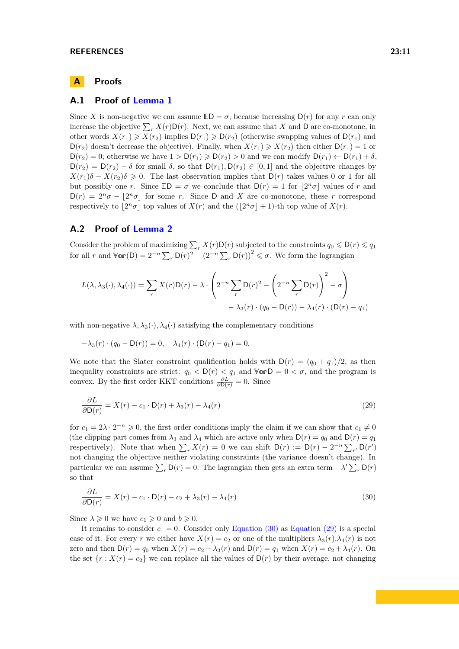# **A Proofs**

## <span id="page-10-0"></span>**A.1 Proof of [Lemma 1](#page-3-1)**

Since *X* is non-negative we can assume  $ED = \sigma$ , because increasing  $D(r)$  for any *r* can only increase the objective  $\sum_{r} X(r) \mathsf{D}(r)$ . Next, we can assume that *X* and **D** are co-monotone, in other words  $X(r_1) \geq X(r_2)$  implies  $D(r_1) \geq D(r_2)$  (otherwise swapping values of  $D(r_1)$  and  $D(r_2)$  doesn't decrease the objective). Finally, when  $X(r_1) \geq X(r_2)$  then either  $D(r_1) = 1$  or  $D(r_2) = 0$ ; otherwise we have  $1 > D(r_1) \geq D(r_2) > 0$  and we can modify  $D(r_1) \leftarrow D(r_1) + \delta$ .  $D(r_2) = D(r_2) - \delta$  for small  $\delta$ , so that  $D(r_1), D(r_2) \in [0, 1]$  and the objective changes by  $X(r_1)\delta - X(r_2)\delta \geq 0$ . The last observation implies that D(*r*) takes values 0 or 1 for all but possibly one *r*. Since  $ED = \sigma$  we conclude that  $D(r) = 1$  for  $\lfloor 2^n \sigma \rfloor$  values of *r* and  $D(r) = 2^n \sigma - |2^n \sigma|$  for some *r*. Since D and *X* are co-monotone, these *r* correspond respectively to  $\lfloor 2^n \sigma \rfloor$  top values of  $X(r)$  and the  $(\lfloor 2^n \sigma \rfloor + 1)$ -th top value of  $X(r)$ .

#### <span id="page-10-1"></span>**A.2 Proof of [Lemma 2](#page-3-2)**

Consider the problem of maximizing  $\sum_r X(r)D(r)$  subjected to the constraints  $q_0 \leq D(r) \leq q_1$ for all *r* and  $\mathbb{Var}(\mathsf{D}) = 2^{-n} \sum_{r} \mathsf{D}(r)^2 - (2^{-n} \sum_{r} \mathsf{D}(r))^2 \leq \sigma$ . We form the lagrangian

$$
L(\lambda, \lambda_3(\cdot), \lambda_4(\cdot)) = \sum_r X(r)D(r) - \lambda \cdot \left(2^{-n} \sum_r D(r)^2 - \left(2^{-n} \sum_r D(r)\right)^2 - \sigma\right) - \lambda_3(r) \cdot (q_0 - D(r)) - \lambda_4(r) \cdot (D(r) - q_1)
$$

with non-negative  $\lambda$ ,  $\lambda_3(\cdot)$ ,  $\lambda_4(\cdot)$  satisfying the complementary conditions

$$
-\lambda_3(r) \cdot (q_0 - D(r)) = 0, \quad \lambda_4(r) \cdot (D(r) - q_1) = 0.
$$

We note that the Slater constraint qualification holds with  $D(r) = (q_0 + q_1)/2$ , as then inequality constraints are strict:  $q_0 < D(r) < q_1$  and  $\forall \texttt{or} D = 0 < \sigma$ , and the program is convex. By the first order KKT conditions  $\frac{\partial L}{\partial \mathsf{D}(r)} = 0$ . Since

<span id="page-10-3"></span>
$$
\frac{\partial L}{\partial \mathsf{D}(r)} = X(r) - c_1 \cdot \mathsf{D}(r) + \lambda_3(r) - \lambda_4(r) \tag{29}
$$

for  $c_1 = 2\lambda \cdot 2^{-n} \geqslant 0$ , the first order conditions imply the claim if we can show that  $c_1 \neq 0$ (the clipping part comes from  $\lambda_3$  and  $\lambda_4$  which are active only when  $D(r) = q_0$  and  $D(r) = q_1$ respectively). Note that when  $\sum_r X(r) = 0$  we can shift  $D(r) := D(r) - 2^{-n} \sum_{r'} D(r')$ not changing the objective neither violating constraints (the variance doesn't change). In particular we can assume  $\sum_r \mathsf{D}(r) = 0$ . The lagrangian then gets an extra term  $-\lambda' \sum_r \mathsf{D}(r)$ so that

<span id="page-10-2"></span>
$$
\frac{\partial L}{\partial D(r)} = X(r) - c_1 \cdot D(r) - c_2 + \lambda_3(r) - \lambda_4(r) \tag{30}
$$

Since  $\lambda \geqslant 0$  we have  $c_1 \geqslant 0$  and  $b \geqslant 0$ .

It remains to consider  $c_1 = 0$ . Consider only [Equation \(30\)](#page-10-2) as [Equation \(29\)](#page-10-3) is a special case of it. For every *r* we either have  $X(r) = c_2$  or one of the multipliers  $\lambda_3(r), \lambda_4(r)$  is not zero and then  $D(r) = q_0$  when  $X(r) = c_2 - \lambda_3(r)$  and  $D(r) = q_1$  when  $X(r) = c_2 + \lambda_4(r)$ . On the set  $\{r : X(r) = c_2\}$  we can replace all the values of  $D(r)$  by their average, not changing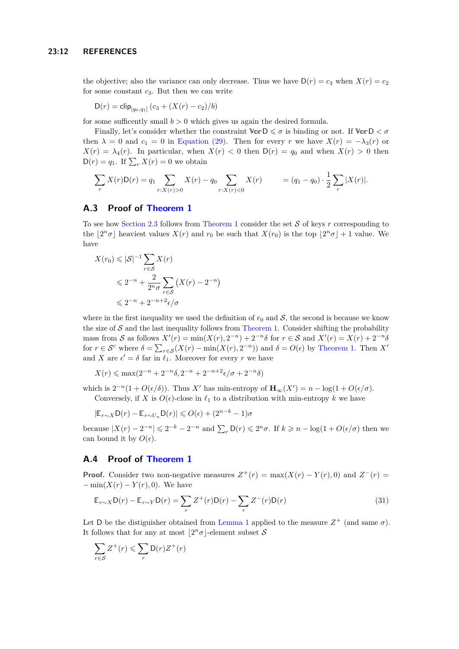the objective; also the variance can only decrease. Thus we have  $D(r) = c_3$  when  $X(r) = c_2$ for some constant *c*3. But then we can write

$$
D(r) = \text{clip}_{[q_0, q_1]} (c_3 + (X(r) - c_2)/b)
$$

for some sufficently small  $b > 0$  which gives us again the desired formula.

Finally, let's consider whether the constraint  $\forall a \in D \leq \sigma$  is binding or not. If  $\forall a \in D \leq \sigma$ then  $\lambda = 0$  and  $c_1 = 0$  in [Equation \(29\).](#page-10-3) Then for every *r* we have  $X(r) = -\lambda_3(r)$  or  $X(r) = \lambda_4(r)$ . In particular, when  $X(r) < 0$  then  $D(r) = q_0$  and when  $X(r) > 0$  then  $D(r) = q_1$ . If  $\sum_r X(r) = 0$  we obtain

$$
\sum_{r} X(r) \mathsf{D}(r) = q_1 \sum_{r: X(r) > 0} X(r) - q_0 \sum_{r: X(r) < 0} X(r) = (q_1 - q_0) \cdot \frac{1}{2} \sum_{r} |X(r)|.
$$

## <span id="page-11-0"></span>**A.3 Proof of [Theorem 1](#page-4-2)**

To see how [Section 2.3](#page-4-1) follows from [Theorem 1](#page-4-2) consider the set S of keys *r* corresponding to the  $\lfloor 2^n \sigma \rfloor$  heaviest values  $X(r)$  and  $r_0$  be such that  $X(r_0)$  is the top  $\lfloor 2^n \sigma \rfloor + 1$  value. We have

$$
X(r_0) \leqslant |\mathcal{S}|^{-1} \sum_{r \in \mathcal{S}} X(r)
$$
  
\n
$$
\leqslant 2^{-n} + \frac{2}{2^n \sigma} \sum_{r \in \mathcal{S}} \left( X(r) - 2^{-n} \right)
$$
  
\n
$$
\leqslant 2^{-n} + 2^{-n+2} \epsilon / \sigma
$$

where in the first inequality we used the definition of  $r_0$  and  $S$ , the second is because we know the size of  $S$  and the last inequality follows from [Theorem 1.](#page-4-2) Consider shifting the probability mass from S as follows  $X'(r) = \min(X(r), 2^{-n}) + 2^{-n}\delta$  for  $r \in S$  and  $X'(r) = X(r) + 2^{-n}\delta$ for  $r \in \mathcal{S}^c$  where  $\delta = \sum_{r \in \mathcal{S}} (X(r) - \min(X(r), 2^{-n}))$  and  $\delta = O(\epsilon)$  by [Theorem 1.](#page-4-2) Then  $X'$ and *X* are  $\epsilon' = \delta$  far in  $\ell_1$ . Moreover for every *r* we have

$$
X(r) \le \max(2^{-n} + 2^{-n}\delta, 2^{-n} + 2^{-n+2}\epsilon/\sigma + 2^{-n}\delta)
$$

which is  $2^{-n}(1 + O(\epsilon/\delta))$ . Thus *X'* has min-entropy of  $\mathbf{H}_{\infty}(X') = n - \log(1 + O(\epsilon/\sigma))$ . Conversely, if *X* is  $O(\epsilon)$ -close in  $\ell_1$  to a distribution with min-entropy *k* we have

$$
|\mathbb{E}_{r\sim X}\mathsf{D}(r)-\mathbb{E}_{r\sim U_n}\mathsf{D}(r)|\leqslant O(\epsilon)+(2^{n-k}-1)\sigma
$$

because  $|X(r) - 2^{-n}| \leq 2^{-k} - 2^{-n}$  and  $\sum_r \mathsf{D}(r) \leq 2^n \sigma$ . If  $k \geq n - \log(1 + O(\epsilon/\sigma))$  then we can bound it by  $O(\epsilon)$ .

# **A.4 Proof of [Theorem 1](#page-4-2)**

**Proof.** Consider two non-negative measures  $Z^+(r) = \max(X(r) - Y(r), 0)$  and  $Z^-(r) =$  $-\min(X(r) - Y(r), 0)$ . We have

<span id="page-11-1"></span>
$$
\mathbb{E}_{r \sim X} \mathsf{D}(r) - \mathbb{E}_{r \sim Y} \mathsf{D}(r) = \sum_{r} Z^{+}(r) \mathsf{D}(r) - \sum_{r} Z^{-}(r) \mathsf{D}(r)
$$
\n(31)

Let D be the distiguisher obtained from [Lemma 1](#page-3-1) applied to the measure  $Z^+$  (and same  $\sigma$ ). It follows that for any at most  $2^n \sigma$ -element subset S

$$
\sum_{r \in S} Z^+(r) \leqslant \sum_r \mathsf{D}(r) Z^+(r)
$$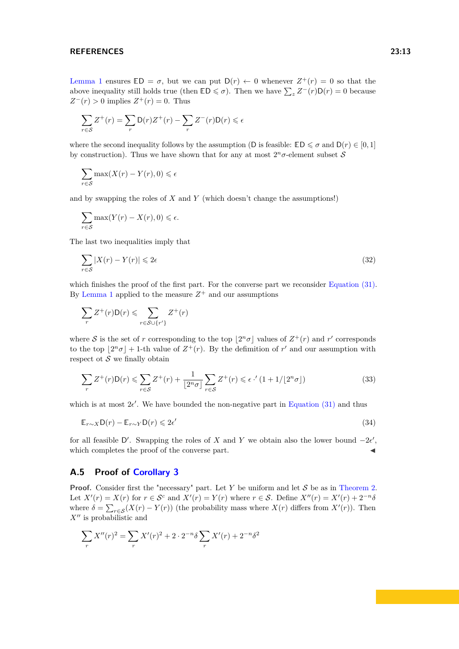#### **REFERENCES 23:13**

[Lemma 1](#page-3-1) ensures  $ED = \sigma$ , but we can put  $D(r) \leftarrow 0$  whenever  $Z^+(r) = 0$  so that the above inequality still holds true (then  $\mathbb{E} \mathsf{D} \leq \sigma$ ). Then we have  $\sum_{z} Z^{-}(r) \mathsf{D}(r) = 0$  because  $Z^-(r) > 0$  implies  $Z^+(r) = 0$ . Thus

$$
\sum_{r \in S} Z^+(r) = \sum_r \mathsf{D}(r) Z^+(r) - \sum_r Z^-(r) \mathsf{D}(r) \leq \epsilon
$$

where the second inequality follows by the assumption (D is feasible:  $\mathbb{E} \mathsf{D} \leq \sigma$  and  $\mathsf{D}(r) \in [0,1]$ by construction). Thus we have shown that for any at most  $2^n \sigma$ -element subset S

$$
\sum_{r \in S} \max(X(r) - Y(r), 0) \le \epsilon
$$

and by swapping the roles of *X* and *Y* (which doesn't change the assumptions!)

$$
\sum_{r \in S} \max(Y(r) - X(r), 0) \leq \epsilon.
$$

The last two inequalities imply that

$$
\sum_{r \in \mathcal{S}} |X(r) - Y(r)| \leq 2\epsilon \tag{32}
$$

which finishes the proof of the first part. For the converse part we reconsider [Equation \(31\).](#page-11-1) By [Lemma 1](#page-3-1) applied to the measure  $Z^+$  and our assumptions

$$
\sum_r Z^+(r) \mathsf{D}(r) \leqslant \sum_{r \in \mathcal{S} \cup \{r'\}} Z^+(r)
$$

where S is the set of r corresponding to the top  $\lfloor 2^n \sigma \rfloor$  values of  $Z^+(r)$  and r' corresponds to the top  $\lfloor 2^n \sigma \rfloor + 1$ -th value of  $Z^+(r)$ . By the defimition of r' and our assumption with respect of  $S$  we finally obtain

$$
\sum_{r} Z^{+}(r) \mathsf{D}(r) \leqslant \sum_{r \in \mathcal{S}} Z^{+}(r) + \frac{1}{\lfloor 2^{n} \sigma \rfloor} \sum_{r \in \mathcal{S}} Z^{+}(r) \leqslant \epsilon \cdot ' (1 + 1/\lfloor 2^{n} \sigma \rfloor) \tag{33}
$$

which is at most  $2e'$ . We have bounded the non-negative part in [Equation \(31\)](#page-11-1) and thus

$$
\mathbb{E}_{r \sim X} \mathsf{D}(r) - \mathbb{E}_{r \sim Y} \mathsf{D}(r) \leq 2\epsilon'
$$
\n(34)

for all feasible D'. Swapping the roles of *X* and *Y* we obtain also the lower bound  $-2\epsilon'$ , which completes the proof of the converse part.

#### <span id="page-12-0"></span>**A.5 Proof of [Corollary 3](#page-5-3)**

**Proof.** Consider first the "necessary" part. Let *Y* be uniform and let *S* be as in [Theorem 2.](#page-4-3) Let  $X'(r) = X(r)$  for  $r \in S^c$  and  $X'(r) = Y(r)$  where  $r \in S$ . Define  $X''(r) = X'(r) + 2^{-n}\delta$ where  $\delta = \sum_{r \in S} (X(r) - Y(r))$  (the probability mass where  $X(r)$  differs from  $X'(r)$ ). Then  $X''$  is probabilistic and

$$
\sum_{r} X''(r)^{2} = \sum_{r} X'(r)^{2} + 2 \cdot 2^{-n} \delta \sum_{r} X'(r) + 2^{-n} \delta^{2}
$$